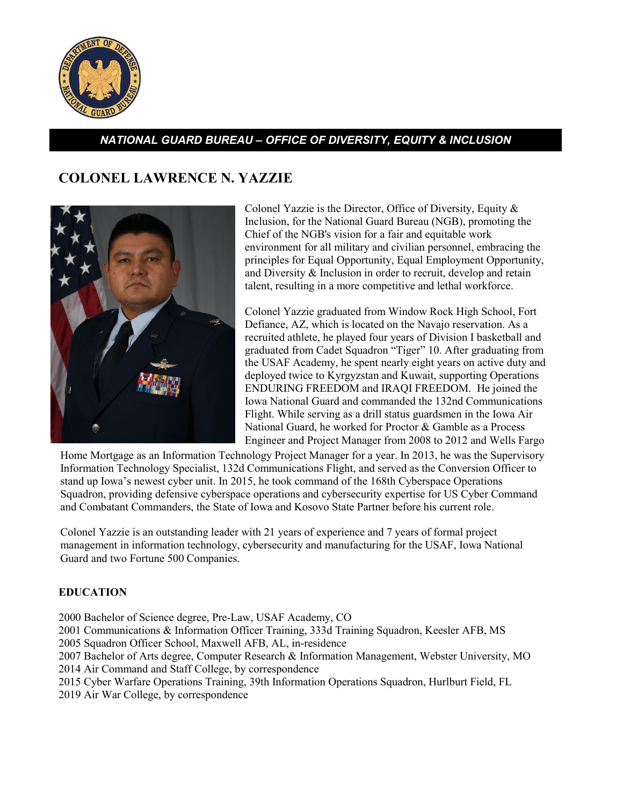

## *NATIONAL GUARD BUREAU – OFFICE OF DIVERSITY, EQUITY & INCLUSION*

# **COLONEL LAWRENCE N. YAZZIE**



Colonel Yazzie is the Director, Office of Diversity, Equity & Inclusion, for the National Guard Bureau (NGB), promoting the Chief of the NGB's vision for a fair and equitable work environment for all military and civilian personnel, embracing the principles for Equal Opportunity, Equal Employment Opportunity, and Diversity & Inclusion in order to recruit, develop and retain talent, resulting in a more competitive and lethal workforce.

Colonel Yazzie graduated from Window Rock High School, Fort Defiance, AZ, which is located on the Navajo reservation. As a recruited athlete, he played four years of Division I basketball and graduated from Cadet Squadron "Tiger" 10. After graduating from the USAF Academy, he spent nearly eight years on active duty and deployed twice to Kyrgyzstan and Kuwait, supporting Operations ENDURING FREEDOM and IRAQI FREEDOM. He joined the Iowa National Guard and commanded the 132nd Communications Flight. While serving as a drill status guardsmen in the Iowa Air National Guard, he worked for Proctor & Gamble as a Process Engineer and Project Manager from 2008 to 2012 and Wells Fargo

Home Mortgage as an Information Technology Project Manager for a year. In 2013, he was the Supervisory Information Technology Specialist, 132d Communications Flight, and served as the Conversion Officer to stand up Iowa's newest cyber unit. In 2015, he took command of the 168th Cyberspace Operations Squadron, providing defensive cyberspace operations and cybersecurity expertise for US Cyber Command and Combatant Commanders, the State of Iowa and Kosovo State Partner before his current role.

Colonel Yazzie is an outstanding leader with 21 years of experience and 7 years of formal project management in information technology, cybersecurity and manufacturing for the USAF, Iowa National Guard and two Fortune 500 Companies.

### **EDUCATION**

2000 Bachelor of Science degree, Pre-Law, USAF Academy, CO

2001 Communications & Information Officer Training, 333d Training Squadron, Keesler AFB, MS

2005 Squadron Officer School, Maxwell AFB, AL, in-residence

2007 Bachelor of Arts degree, Computer Research & Information Management, Webster University, MO 2014 Air Command and Staff College, by correspondence

2015 Cyber Warfare Operations Training, 39th Information Operations Squadron, Hurlburt Field, FL

2019 Air War College, by correspondence